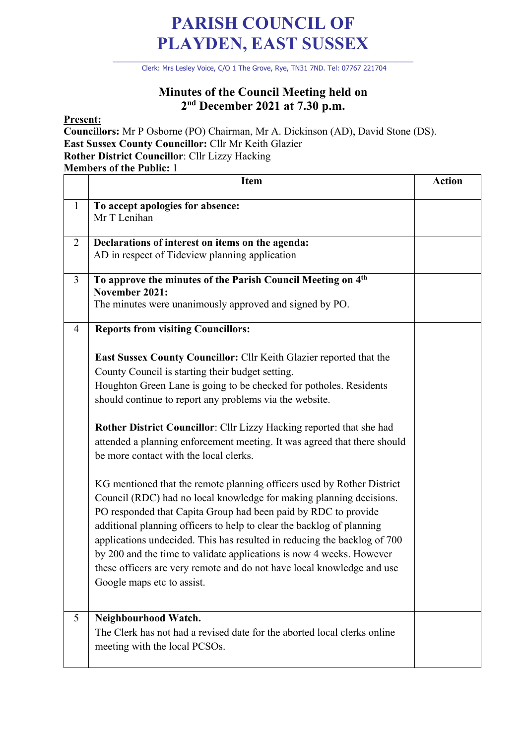## **PARISH COUNCIL OF PLAYDEN, EAST SUSSEX**

\_\_\_\_\_\_\_\_\_\_\_\_\_\_\_\_\_\_\_\_\_\_\_\_\_\_\_\_\_\_\_\_\_\_\_\_\_\_\_\_\_\_\_\_\_\_\_\_\_\_\_\_\_\_\_\_\_\_\_\_\_\_\_\_\_\_\_\_ Clerk: Mrs Lesley Voice, C/O 1 The Grove, Rye, TN31 7ND. Tel: 07767 221704

## **Minutes of the Council Meeting held on 2nd December 2021 at 7.30 p.m.**

**Present:**

**Councillors:** Mr P Osborne (PO) Chairman, Mr A. Dickinson (AD), David Stone (DS). **East Sussex County Councillor:** Cllr Mr Keith Glazier **Rother District Councillor**: Cllr Lizzy Hacking **Members of the Public:** 1

|                | <b>Item</b>                                                                                                                                                                                                                                                                                                                                                                                                                                                                                                                                                                                                                                                                                                                                                                                                                                                                                                                                                                                                                                                 | <b>Action</b> |
|----------------|-------------------------------------------------------------------------------------------------------------------------------------------------------------------------------------------------------------------------------------------------------------------------------------------------------------------------------------------------------------------------------------------------------------------------------------------------------------------------------------------------------------------------------------------------------------------------------------------------------------------------------------------------------------------------------------------------------------------------------------------------------------------------------------------------------------------------------------------------------------------------------------------------------------------------------------------------------------------------------------------------------------------------------------------------------------|---------------|
| $\mathbf{1}$   | To accept apologies for absence:<br>Mr T Lenihan                                                                                                                                                                                                                                                                                                                                                                                                                                                                                                                                                                                                                                                                                                                                                                                                                                                                                                                                                                                                            |               |
| 2              | Declarations of interest on items on the agenda:<br>AD in respect of Tideview planning application                                                                                                                                                                                                                                                                                                                                                                                                                                                                                                                                                                                                                                                                                                                                                                                                                                                                                                                                                          |               |
| $\overline{3}$ | To approve the minutes of the Parish Council Meeting on 4th<br>November 2021:<br>The minutes were unanimously approved and signed by PO.                                                                                                                                                                                                                                                                                                                                                                                                                                                                                                                                                                                                                                                                                                                                                                                                                                                                                                                    |               |
| 4              | <b>Reports from visiting Councillors:</b><br>East Sussex County Councillor: Cllr Keith Glazier reported that the<br>County Council is starting their budget setting.<br>Houghton Green Lane is going to be checked for potholes. Residents<br>should continue to report any problems via the website.<br>Rother District Councillor: Cllr Lizzy Hacking reported that she had<br>attended a planning enforcement meeting. It was agreed that there should<br>be more contact with the local clerks.<br>KG mentioned that the remote planning officers used by Rother District<br>Council (RDC) had no local knowledge for making planning decisions.<br>PO responded that Capita Group had been paid by RDC to provide<br>additional planning officers to help to clear the backlog of planning<br>applications undecided. This has resulted in reducing the backlog of 700<br>by 200 and the time to validate applications is now 4 weeks. However<br>these officers are very remote and do not have local knowledge and use<br>Google maps etc to assist. |               |
| 5              | Neighbourhood Watch.<br>The Clerk has not had a revised date for the aborted local clerks online<br>meeting with the local PCSOs.                                                                                                                                                                                                                                                                                                                                                                                                                                                                                                                                                                                                                                                                                                                                                                                                                                                                                                                           |               |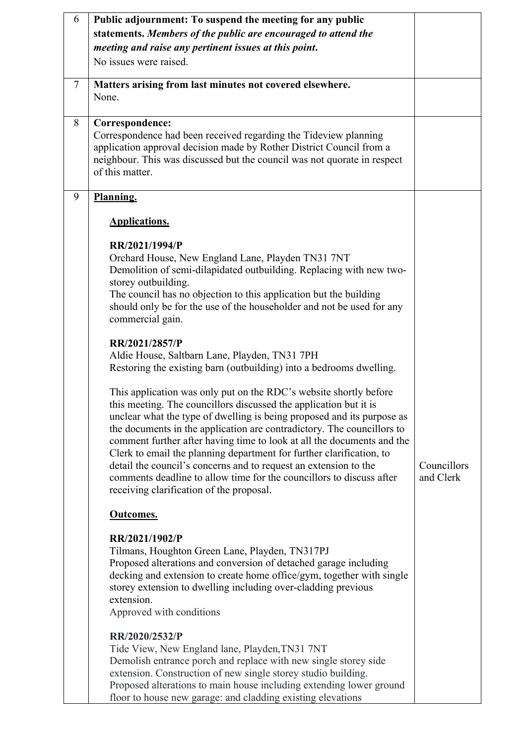| 6      | Public adjournment: To suspend the meeting for any public                                                                                                   |             |
|--------|-------------------------------------------------------------------------------------------------------------------------------------------------------------|-------------|
|        | statements. Members of the public are encouraged to attend the                                                                                              |             |
|        | meeting and raise any pertinent issues at this point.                                                                                                       |             |
|        | No issues were raised.                                                                                                                                      |             |
| $\tau$ | Matters arising from last minutes not covered elsewhere.                                                                                                    |             |
|        | None.                                                                                                                                                       |             |
|        |                                                                                                                                                             |             |
| 8      | Correspondence:<br>Correspondence had been received regarding the Tideview planning<br>application approval decision made by Rother District Council from a |             |
|        | neighbour. This was discussed but the council was not quorate in respect<br>of this matter.                                                                 |             |
| 9      | Planning.                                                                                                                                                   |             |
|        | <b>Applications.</b>                                                                                                                                        |             |
|        | RR/2021/1994/P                                                                                                                                              |             |
|        | Orchard House, New England Lane, Playden TN31 7NT<br>Demolition of semi-dilapidated outbuilding. Replacing with new two-                                    |             |
|        | storey outbuilding.<br>The council has no objection to this application but the building                                                                    |             |
|        | should only be for the use of the householder and not be used for any<br>commercial gain.                                                                   |             |
|        | RR/2021/2857/P                                                                                                                                              |             |
|        | Aldie House, Saltbarn Lane, Playden, TN31 7PH                                                                                                               |             |
|        | Restoring the existing barn (outbuilding) into a bedrooms dwelling.                                                                                         |             |
|        | This application was only put on the RDC's website shortly before                                                                                           |             |
|        | this meeting. The councillors discussed the application but it is<br>unclear what the type of dwelling is being proposed and its purpose as                 |             |
|        | the documents in the application are contradictory. The councillors to<br>comment further after having time to look at all the documents and the            |             |
|        | Clerk to email the planning department for further clarification, to                                                                                        |             |
|        | detail the council's concerns and to request an extension to the                                                                                            | Councillors |
|        | comments deadline to allow time for the councillors to discuss after<br>receiving clarification of the proposal.                                            | and Clerk   |
|        | <b>Outcomes.</b>                                                                                                                                            |             |
|        | RR/2021/1902/P                                                                                                                                              |             |
|        | Tilmans, Houghton Green Lane, Playden, TN317PJ                                                                                                              |             |
|        | Proposed alterations and conversion of detached garage including<br>decking and extension to create home office/gym, together with single                   |             |
|        | storey extension to dwelling including over-cladding previous                                                                                               |             |
|        | extension.                                                                                                                                                  |             |
|        | Approved with conditions                                                                                                                                    |             |
|        | RR/2020/2532/P                                                                                                                                              |             |
|        | Tide View, New England lane, Playden, TN31 7NT                                                                                                              |             |
|        | Demolish entrance porch and replace with new single storey side<br>extension. Construction of new single storey studio building.                            |             |
|        | Proposed alterations to main house including extending lower ground                                                                                         |             |
|        | floor to house new garage: and cladding existing elevations                                                                                                 |             |